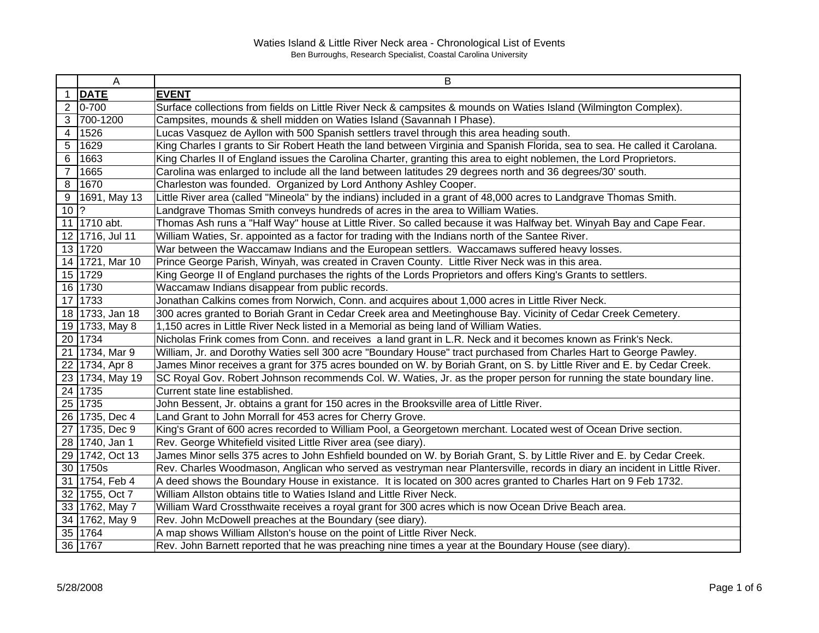|                 | $\overline{A}$  | B                                                                                                                           |
|-----------------|-----------------|-----------------------------------------------------------------------------------------------------------------------------|
| $\mathbf{1}$    | <b>DATE</b>     | <b>EVENT</b>                                                                                                                |
|                 | $2 0-700$       | Surface collections from fields on Little River Neck & campsites & mounds on Waties Island (Wilmington Complex).            |
|                 | 3 700-1200      | Campsites, mounds & shell midden on Waties Island (Savannah I Phase).                                                       |
| $\overline{4}$  | 1526            | Lucas Vasquez de Ayllon with 500 Spanish settlers travel through this area heading south.                                   |
| 5               | 1629            | King Charles I grants to Sir Robert Heath the land between Virginia and Spanish Florida, sea to sea. He called it Carolana. |
| 6               | 1663            | King Charles II of England issues the Carolina Charter, granting this area to eight noblemen, the Lord Proprietors.         |
| $7\overline{ }$ | 1665            | Carolina was enlarged to include all the land between latitudes 29 degrees north and 36 degrees/30' south.                  |
| 8               | 1670            | Charleston was founded. Organized by Lord Anthony Ashley Cooper.                                                            |
| 9               | 1691, May 13    | Little River area (called "Mineola" by the indians) included in a grant of 48,000 acres to Landgrave Thomas Smith.          |
| 10              | 1?              | Landgrave Thomas Smith conveys hundreds of acres in the area to William Waties.                                             |
|                 | 11 1710 abt.    | Thomas Ash runs a "Half Way" house at Little River. So called because it was Halfway bet. Winyah Bay and Cape Fear.         |
|                 | 12 1716, Jul 11 | William Waties, Sr. appointed as a factor for trading with the Indians north of the Santee River.                           |
|                 | 13 1720         | War between the Waccamaw Indians and the European settlers. Waccamaws suffered heavy losses.                                |
|                 | 14 1721, Mar 10 | Prince George Parish, Winyah, was created in Craven County. Little River Neck was in this area.                             |
|                 | 15 1729         | King George II of England purchases the rights of the Lords Proprietors and offers King's Grants to settlers.               |
|                 | 16 1730         | Waccamaw Indians disappear from public records.                                                                             |
|                 | 17 1733         | Jonathan Calkins comes from Norwich, Conn. and acquires about 1,000 acres in Little River Neck.                             |
|                 | 18 1733, Jan 18 | 300 acres granted to Boriah Grant in Cedar Creek area and Meetinghouse Bay. Vicinity of Cedar Creek Cemetery.               |
|                 | 19 1733, May 8  | 1,150 acres in Little River Neck listed in a Memorial as being land of William Waties.                                      |
|                 | 20 1734         | Nicholas Frink comes from Conn. and receives a land grant in L.R. Neck and it becomes known as Frink's Neck.                |
|                 | 21 1734, Mar 9  | William, Jr. and Dorothy Waties sell 300 acre "Boundary House" tract purchased from Charles Hart to George Pawley.          |
|                 | 22 1734, Apr 8  | James Minor receives a grant for 375 acres bounded on W. by Boriah Grant, on S. by Little River and E. by Cedar Creek.      |
|                 | 23 1734, May 19 | SC Royal Gov. Robert Johnson recommends Col. W. Waties, Jr. as the proper person for running the state boundary line.       |
|                 | 24 1735         | Current state line established.                                                                                             |
|                 | 25 1735         | John Bessent, Jr. obtains a grant for 150 acres in the Brooksville area of Little River.                                    |
|                 | 26 1735, Dec 4  | Land Grant to John Morrall for 453 acres for Cherry Grove.                                                                  |
|                 | 27 1735, Dec 9  | King's Grant of 600 acres recorded to William Pool, a Georgetown merchant. Located west of Ocean Drive section.             |
|                 | 28 1740, Jan 1  | Rev. George Whitefield visited Little River area (see diary).                                                               |
|                 | 29 1742, Oct 13 | James Minor sells 375 acres to John Eshfield bounded on W. by Boriah Grant, S. by Little River and E. by Cedar Creek.       |
|                 | 30 1750s        | Rev. Charles Woodmason, Anglican who served as vestryman near Plantersville, records in diary an incident in Little River.  |
|                 | 31 1754, Feb 4  | A deed shows the Boundary House in existance. It is located on 300 acres granted to Charles Hart on 9 Feb 1732.             |
|                 | 32 1755, Oct 7  | William Allston obtains title to Waties Island and Little River Neck.                                                       |
|                 | 33 1762, May 7  | William Ward Crossthwaite receives a royal grant for 300 acres which is now Ocean Drive Beach area.                         |
|                 | 34 1762, May 9  | Rev. John McDowell preaches at the Boundary (see diary).                                                                    |
|                 | 35 1764         | A map shows William Allston's house on the point of Little River Neck.                                                      |
|                 | 36 1767         | Rev. John Barnett reported that he was preaching nine times a year at the Boundary House (see diary).                       |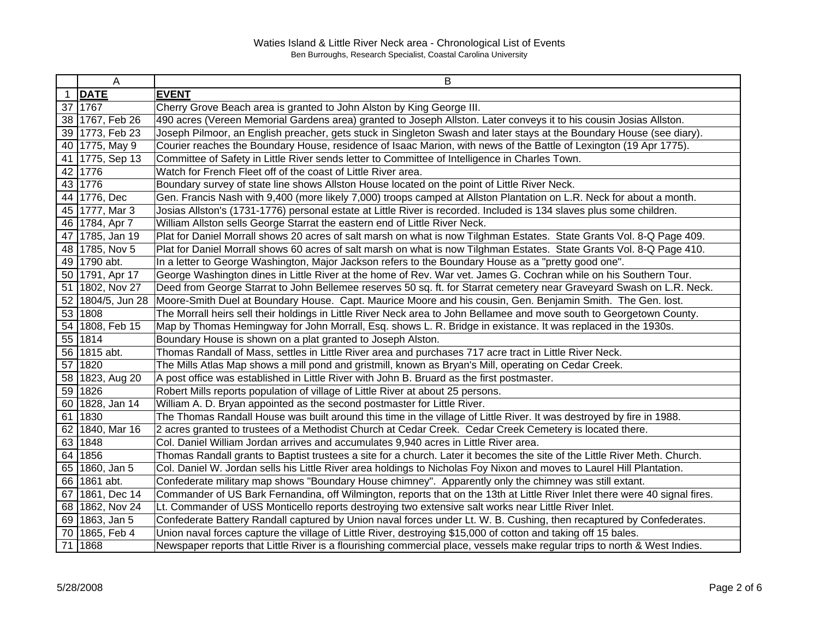|              | $\mathsf{A}$      | B                                                                                                                           |
|--------------|-------------------|-----------------------------------------------------------------------------------------------------------------------------|
| $\mathbf{1}$ | <b>DATE</b>       | <b>EVENT</b>                                                                                                                |
|              | 37 1767           | Cherry Grove Beach area is granted to John Alston by King George III.                                                       |
|              | 38 1767, Feb 26   | 490 acres (Vereen Memorial Gardens area) granted to Joseph Allston. Later conveys it to his cousin Josias Allston.          |
|              | 39 1773, Feb 23   | Joseph Pilmoor, an English preacher, gets stuck in Singleton Swash and later stays at the Boundary House (see diary).       |
|              | 40 1775, May 9    | Courier reaches the Boundary House, residence of Isaac Marion, with news of the Battle of Lexington (19 Apr 1775).          |
|              | 41 1775, Sep 13   | Committee of Safety in Little River sends letter to Committee of Intelligence in Charles Town.                              |
|              | 42 1776           | Watch for French Fleet off of the coast of Little River area.                                                               |
|              | 43 1776           | Boundary survey of state line shows Allston House located on the point of Little River Neck.                                |
|              | 44 1776, Dec      | Gen. Francis Nash with 9,400 (more likely 7,000) troops camped at Allston Plantation on L.R. Neck for about a month.        |
|              | 45 1777, Mar 3    | Josias Allston's (1731-1776) personal estate at Little River is recorded. Included is 134 slaves plus some children.        |
|              | 46 1784, Apr 7    | William Allston sells George Starrat the eastern end of Little River Neck.                                                  |
| 47           | 1785, Jan 19      | Plat for Daniel Morrall shows 20 acres of salt marsh on what is now Tilghman Estates. State Grants Vol. 8-Q Page 409.       |
|              | 48 1785, Nov 5    | Plat for Daniel Morrall shows 60 acres of salt marsh on what is now Tilghman Estates. State Grants Vol. 8-Q Page 410.       |
|              | 49 1790 abt.      | In a letter to George Washington, Major Jackson refers to the Boundary House as a "pretty good one".                        |
|              | 50 1791, Apr 17   | George Washington dines in Little River at the home of Rev. War vet. James G. Cochran while on his Southern Tour.           |
|              | 51 1802, Nov 27   | Deed from George Starrat to John Bellemee reserves 50 sq. ft. for Starrat cemetery near Graveyard Swash on L.R. Neck.       |
|              | 52 1804/5, Jun 28 | Moore-Smith Duel at Boundary House. Capt. Maurice Moore and his cousin, Gen. Benjamin Smith. The Gen. lost.                 |
| 53           | 1808              | The Morrall heirs sell their holdings in Little River Neck area to John Bellamee and move south to Georgetown County.       |
| 54           | 1808, Feb 15      | Map by Thomas Hemingway for John Morrall, Esq. shows L. R. Bridge in existance. It was replaced in the 1930s.               |
| 55           | 1814              | Boundary House is shown on a plat granted to Joseph Alston.                                                                 |
|              | 56 1815 abt.      | Thomas Randall of Mass, settles in Little River area and purchases 717 acre tract in Little River Neck.                     |
| 57           | 1820              | The Mills Atlas Map shows a mill pond and gristmill, known as Bryan's Mill, operating on Cedar Creek.                       |
|              | 58 1823, Aug 20   | A post office was established in Little River with John B. Bruard as the first postmaster.                                  |
| 59           | 1826              | Robert Mills reports population of village of Little River at about 25 persons.                                             |
| 60           | 1828, Jan 14      | William A. D. Bryan appointed as the second postmaster for Little River.                                                    |
| 61           | 1830              | The Thomas Randall House was built around this time in the village of Little River. It was destroyed by fire in 1988.       |
|              | 62 1840, Mar 16   | 2 acres granted to trustees of a Methodist Church at Cedar Creek. Cedar Creek Cemetery is located there.                    |
|              | 63 1848           | Col. Daniel William Jordan arrives and accumulates 9,940 acres in Little River area.                                        |
|              | 64 1856           | Thomas Randall grants to Baptist trustees a site for a church. Later it becomes the site of the Little River Meth. Church.  |
|              | 65 1860, Jan 5    | Col. Daniel W. Jordan sells his Little River area holdings to Nicholas Foy Nixon and moves to Laurel Hill Plantation.       |
|              | 66 1861 abt.      | Confederate military map shows "Boundary House chimney". Apparently only the chimney was still extant.                      |
|              | 67 1861, Dec 14   | Commander of US Bark Fernandina, off Wilmington, reports that on the 13th at Little River Inlet there were 40 signal fires. |
|              | 68 1862, Nov 24   | Lt. Commander of USS Monticello reports destroying two extensive salt works near Little River Inlet.                        |
|              | 69 1863, Jan 5    | Confederate Battery Randall captured by Union naval forces under Lt. W. B. Cushing, then recaptured by Confederates.        |
| 70           | 1865, Feb 4       | Union naval forces capture the village of Little River, destroying \$15,000 of cotton and taking off 15 bales.              |
| 71           | 1868              | Newspaper reports that Little River is a flourishing commercial place, vessels make regular trips to north & West Indies.   |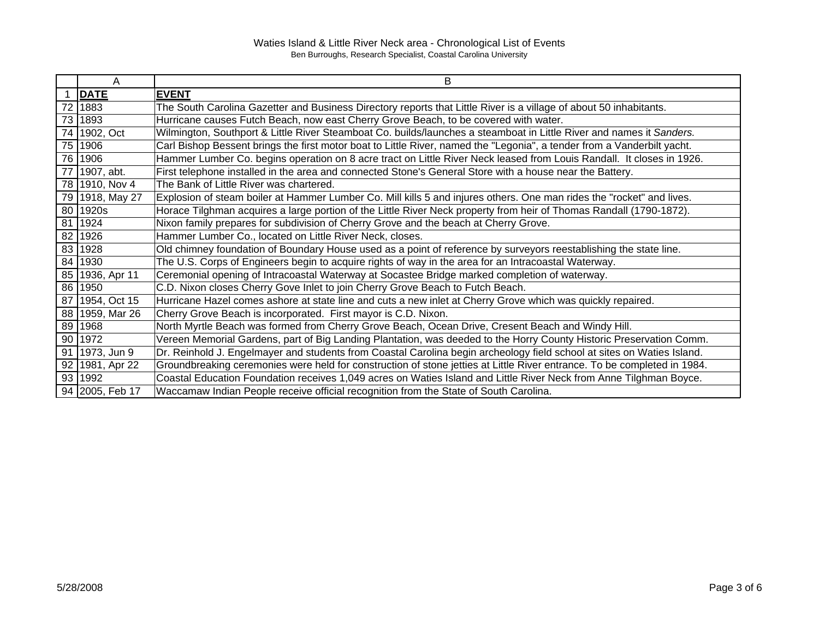|    | A               | B                                                                                                                        |
|----|-----------------|--------------------------------------------------------------------------------------------------------------------------|
|    | <b>DATE</b>     | <b>EVENT</b>                                                                                                             |
|    | 72 1883         | The South Carolina Gazetter and Business Directory reports that Little River is a village of about 50 inhabitants.       |
| 73 | 1893            | Hurricane causes Futch Beach, now east Cherry Grove Beach, to be covered with water.                                     |
|    | 74 1902, Oct    | Wilmington, Southport & Little River Steamboat Co. builds/launches a steamboat in Little River and names it Sanders.     |
| 75 | 1906            | Carl Bishop Bessent brings the first motor boat to Little River, named the "Legonia", a tender from a Vanderbilt yacht.  |
|    | 76 1906         | Hammer Lumber Co. begins operation on 8 acre tract on Little River Neck leased from Louis Randall. It closes in 1926.    |
| 77 | 1907, abt.      | First telephone installed in the area and connected Stone's General Store with a house near the Battery.                 |
|    | 78 1910, Nov 4  | The Bank of Little River was chartered.                                                                                  |
|    | 79 1918, May 27 | Explosion of steam boiler at Hammer Lumber Co. Mill kills 5 and injures others. One man rides the "rocket" and lives.    |
|    | 80 1920s        | Horace Tilghman acquires a large portion of the Little River Neck property from heir of Thomas Randall (1790-1872).      |
|    | 81 1924         | Nixon family prepares for subdivision of Cherry Grove and the beach at Cherry Grove.                                     |
|    | 82 1926         | Hammer Lumber Co., located on Little River Neck, closes.                                                                 |
|    | 83 1928         | Old chimney foundation of Boundary House used as a point of reference by surveyors reestablishing the state line.        |
|    | 84 1930         | The U.S. Corps of Engineers begin to acquire rights of way in the area for an Intracoastal Waterway.                     |
|    | 85 1936, Apr 11 | Ceremonial opening of Intracoastal Waterway at Socastee Bridge marked completion of waterway.                            |
|    | 86 1950         | C.D. Nixon closes Cherry Gove Inlet to join Cherry Grove Beach to Futch Beach.                                           |
| 87 | 1954, Oct 15    | Hurricane Hazel comes ashore at state line and cuts a new inlet at Cherry Grove which was quickly repaired.              |
|    | 88 1959, Mar 26 | Cherry Grove Beach is incorporated. First mayor is C.D. Nixon.                                                           |
|    | 89 1968         | North Myrtle Beach was formed from Cherry Grove Beach, Ocean Drive, Cresent Beach and Windy Hill.                        |
|    | 90 1972         | Vereen Memorial Gardens, part of Big Landing Plantation, was deeded to the Horry County Historic Preservation Comm.      |
|    | 91 1973, Jun 9  | Dr. Reinhold J. Engelmayer and students from Coastal Carolina begin archeology field school at sites on Waties Island.   |
|    | 92 1981, Apr 22 | Groundbreaking ceremonies were held for construction of stone jetties at Little River entrance. To be completed in 1984. |
|    | 93 1992         | Coastal Education Foundation receives 1,049 acres on Waties Island and Little River Neck from Anne Tilghman Boyce.       |
|    | 94 2005, Feb 17 | Waccamaw Indian People receive official recognition from the State of South Carolina.                                    |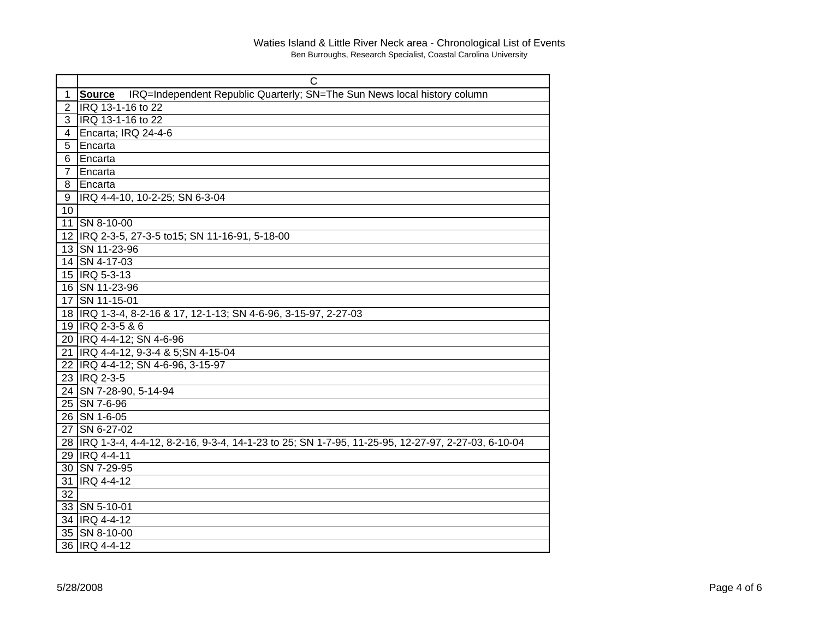|                | C                                                                                                     |
|----------------|-------------------------------------------------------------------------------------------------------|
| 1              | IRQ=Independent Republic Quarterly; SN=The Sun News local history column<br><b>Source</b>             |
| $\overline{2}$ | IRQ 13-1-16 to 22                                                                                     |
| 3              | IRQ 13-1-16 to 22                                                                                     |
| 4              | Encarta; IRQ 24-4-6                                                                                   |
| 5              | Encarta                                                                                               |
| 6              | Encarta                                                                                               |
| 7              | Encarta                                                                                               |
| 8              | Encarta                                                                                               |
| 9              | IRQ 4-4-10, 10-2-25; SN 6-3-04                                                                        |
| 10             |                                                                                                       |
| 11             | SN 8-10-00                                                                                            |
|                | 12 IRQ 2-3-5, 27-3-5 to 15; SN 11-16-91, 5-18-00                                                      |
|                | 13 SN 11-23-96                                                                                        |
|                | 14 SN 4-17-03                                                                                         |
|                | 15 IRQ 5-3-13                                                                                         |
|                | 16 SN 11-23-96                                                                                        |
|                | 17 SN 11-15-01                                                                                        |
|                | 18  IRQ 1-3-4, 8-2-16 & 17, 12-1-13; SN 4-6-96, 3-15-97, 2-27-03                                      |
|                | 19 IRQ 2-3-5 & 6                                                                                      |
|                | 20 IRQ 4-4-12; SN 4-6-96                                                                              |
|                | 21   IRQ 4-4-12, 9-3-4 & 5; SN 4-15-04                                                                |
|                | 22 IRQ 4-4-12; SN 4-6-96, 3-15-97                                                                     |
|                | 23   IRQ 2-3-5                                                                                        |
|                | 24 SN 7-28-90, 5-14-94                                                                                |
|                | 25 SN 7-6-96                                                                                          |
|                | 26 SN 1-6-05                                                                                          |
|                | 27 SN 6-27-02                                                                                         |
|                | 28   IRQ 1-3-4, 4-4-12, 8-2-16, 9-3-4, 14-1-23 to 25; SN 1-7-95, 11-25-95, 12-27-97, 2-27-03, 6-10-04 |
|                | 29 IRQ 4-4-11                                                                                         |
|                | 30 SN 7-29-95                                                                                         |
| 31             | <b>IRQ 4-4-12</b>                                                                                     |
| 32             |                                                                                                       |
|                | 33 SN 5-10-01                                                                                         |
|                | 34 IRQ 4-4-12                                                                                         |
|                | 35 SN 8-10-00                                                                                         |
|                | 36 IRQ 4-4-12                                                                                         |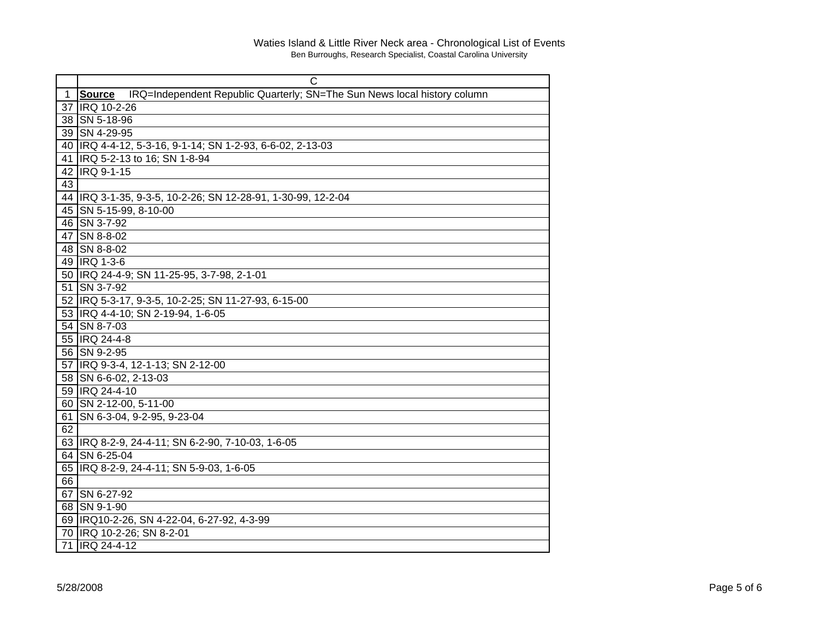|    | C                                                                                         |
|----|-------------------------------------------------------------------------------------------|
| 1  | IRQ=Independent Republic Quarterly; SN=The Sun News local history column<br><b>Source</b> |
| 37 | <b>IRQ 10-2-26</b>                                                                        |
|    | 38 SN 5-18-96                                                                             |
|    | 39 SN 4-29-95                                                                             |
|    | 40   IRQ 4-4-12, 5-3-16, 9-1-14; SN 1-2-93, 6-6-02, 2-13-03                               |
|    | 41   IRQ 5-2-13 to 16; SN 1-8-94                                                          |
|    | 42 IRQ 9-1-15                                                                             |
| 43 |                                                                                           |
|    | 44   IRQ 3-1-35, 9-3-5, 10-2-26; SN 12-28-91, 1-30-99, 12-2-04                            |
|    | 45 SN 5-15-99, 8-10-00                                                                    |
|    | 46 SN 3-7-92                                                                              |
|    | 47 SN 8-8-02                                                                              |
|    | 48 SN 8-8-02                                                                              |
|    | 49 IRQ 1-3-6                                                                              |
|    | 50   IRQ 24-4-9; SN 11-25-95, 3-7-98, 2-1-01                                              |
|    | 51 SN 3-7-92                                                                              |
|    | 52 IRQ 5-3-17, 9-3-5, 10-2-25; SN 11-27-93, 6-15-00                                       |
|    | 53   IRQ 4-4-10; SN 2-19-94, 1-6-05                                                       |
|    | 54 SN 8-7-03                                                                              |
|    | 55 IRQ 24-4-8                                                                             |
|    | 56 SN 9-2-95                                                                              |
|    | 57 IRQ 9-3-4, 12-1-13; SN 2-12-00                                                         |
|    | 58 SN 6-6-02, 2-13-03                                                                     |
|    | 59 IRQ 24-4-10                                                                            |
|    | 60 SN 2-12-00, 5-11-00                                                                    |
| 61 | SN 6-3-04, 9-2-95, 9-23-04                                                                |
| 62 |                                                                                           |
|    | 63 IRQ 8-2-9, 24-4-11; SN 6-2-90, 7-10-03, 1-6-05                                         |
|    | 64 SN 6-25-04                                                                             |
| 65 | IRQ 8-2-9, 24-4-11; SN 5-9-03, 1-6-05                                                     |
| 66 |                                                                                           |
|    | 67 SN 6-27-92                                                                             |
|    | 68 SN 9-1-90                                                                              |
|    | 69   IRQ10-2-26, SN 4-22-04, 6-27-92, 4-3-99                                              |
|    | 70   IRQ 10-2-26; SN 8-2-01                                                               |
|    | 71 IRQ 24-4-12                                                                            |